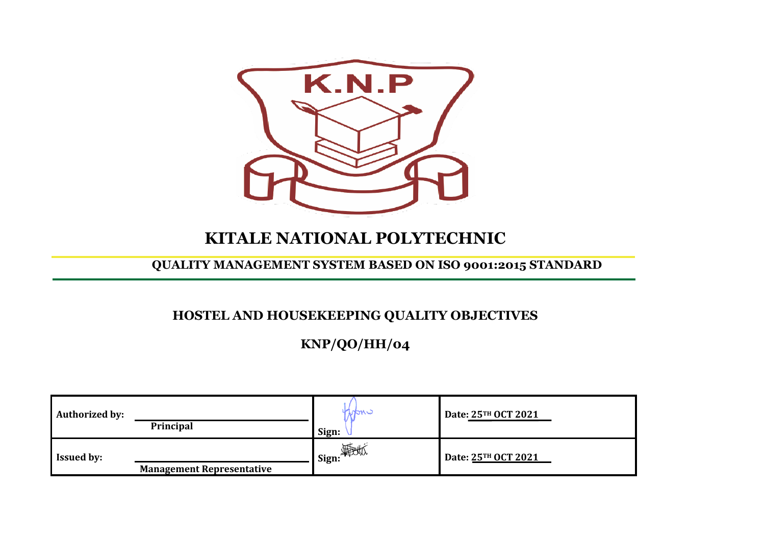

# **KITALE NATIONAL POLYTECHNIC**

### **QUALITY MANAGEMENT SYSTEM BASED ON ISO 9001:2015 STANDARD**

# **HOSTEL AND HOUSEKEEPING QUALITY OBJECTIVES**

**KNP/QO/HH/04**

| <b>Authorized by:</b> | Principal                        | INOMC<br>Sign:     | Date: 25TH OCT 2021 |
|-----------------------|----------------------------------|--------------------|---------------------|
| <b>Issued by:</b>     | <b>Management Representative</b> | <b>4</b> Sign: 海地区 | Date: 25TH OCT 2021 |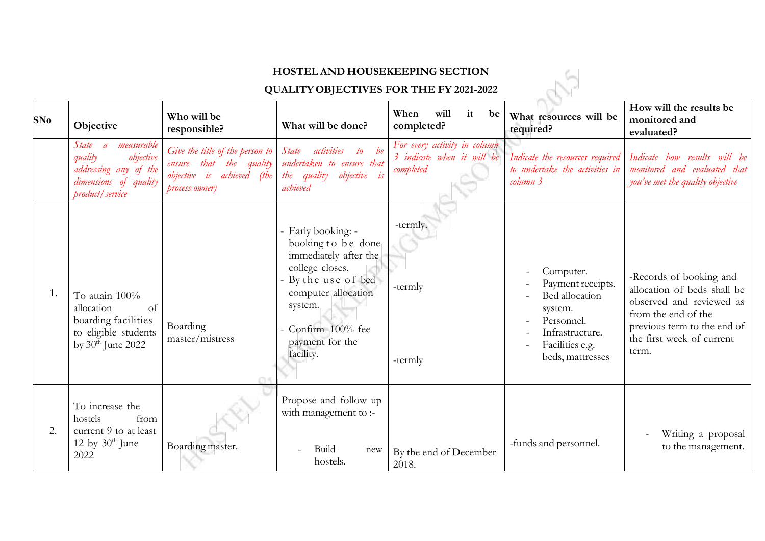#### **HOSTEL AND HOUSEKEEPING SECTION**

# **QUALITYOBJECTIVES FOR THE FY 2021-2022**

| <b>HOSTEL AND HOUSEKEEPING SECTION</b>         |                                                                                                                      |                                                                                                            |                                                                                                                                                                                                 |                                                                         |                                                                                                                                     |                                                                                                                                                                                |  |  |
|------------------------------------------------|----------------------------------------------------------------------------------------------------------------------|------------------------------------------------------------------------------------------------------------|-------------------------------------------------------------------------------------------------------------------------------------------------------------------------------------------------|-------------------------------------------------------------------------|-------------------------------------------------------------------------------------------------------------------------------------|--------------------------------------------------------------------------------------------------------------------------------------------------------------------------------|--|--|
| <b>QUALITY OBJECTIVES FOR THE FY 2021-2022</b> |                                                                                                                      |                                                                                                            |                                                                                                                                                                                                 |                                                                         |                                                                                                                                     |                                                                                                                                                                                |  |  |
| SNo                                            | Objective                                                                                                            | Who will be<br>responsible?                                                                                | What will be done?                                                                                                                                                                              | When<br>will<br>it<br>be<br>completed?                                  | What resources will be<br>required?                                                                                                 | How will the results be<br>monitored and<br>evaluated?                                                                                                                         |  |  |
|                                                | measurable<br>State a<br>quality<br>objective<br>addressing any of the<br>dimensions of quality<br>product / service | Give the title of the person to<br>ensure that the quality<br>objective is achieved (the<br>process owner) | State<br>activities<br>$\omega$<br>undertaken to ensure that<br>the quality objective is<br>achieved                                                                                            | For every activity in column<br>3 indicate when it will be<br>completed | Indicate the resources required<br>to undertake the activities in<br>column 3                                                       | Indicate how results will be<br>monitored and evaluated that<br>you've met the quality objective                                                                               |  |  |
| 1.                                             | To attain 100%<br>allocation<br>of<br>boarding facilities<br>to eligible students<br>by 30 <sup>th</sup> June 2022   | Boarding<br>master/mistress                                                                                | - Early booking: -<br>booking to be done<br>immediately after the<br>college closes.<br>By the use of bed<br>computer allocation<br>system.<br>Confirm 100% fee<br>payment for the<br>facility. | -termly.<br>-termly<br>-termly                                          | Computer.<br>Payment receipts.<br>Bed allocation<br>system.<br>Personnel.<br>Infrastructure.<br>Facilities e.g.<br>beds, mattresses | -Records of booking and<br>allocation of beds shall be<br>observed and reviewed as<br>from the end of the<br>previous term to the end of<br>the first week of current<br>term. |  |  |
| 2.                                             | To increase the<br>hostels<br>from<br>current 9 to at least<br>12 by $30th$ June<br>2022                             | Boarding master.                                                                                           | Propose and follow up<br>with management to :-<br>Build<br>new<br>hostels.                                                                                                                      | By the end of December<br>2018.                                         | -funds and personnel.                                                                                                               | Writing a proposal<br>to the management.                                                                                                                                       |  |  |